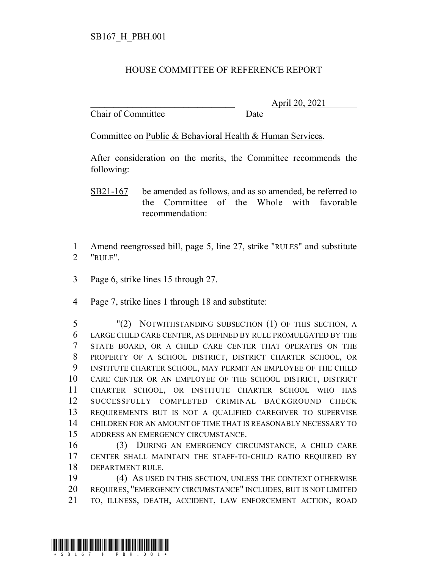## HOUSE COMMITTEE OF REFERENCE REPORT

Chair of Committee Date

\_\_\_\_\_\_\_\_\_\_\_\_\_\_\_\_\_\_\_\_\_\_\_\_\_\_\_\_\_\_\_ April 20, 2021

Committee on Public & Behavioral Health & Human Services.

After consideration on the merits, the Committee recommends the following:

 Amend reengrossed bill, page 5, line 27, strike "RULES" and substitute "RULE".

- Page 6, strike lines 15 through 27.
- Page 7, strike lines 1 through 18 and substitute:

 "(2) NOTWITHSTANDING SUBSECTION (1) OF THIS SECTION, A LARGE CHILD CARE CENTER, AS DEFINED BY RULE PROMULGATED BY THE STATE BOARD, OR A CHILD CARE CENTER THAT OPERATES ON THE PROPERTY OF A SCHOOL DISTRICT, DISTRICT CHARTER SCHOOL, OR INSTITUTE CHARTER SCHOOL, MAY PERMIT AN EMPLOYEE OF THE CHILD CARE CENTER OR AN EMPLOYEE OF THE SCHOOL DISTRICT, DISTRICT CHARTER SCHOOL, OR INSTITUTE CHARTER SCHOOL WHO HAS SUCCESSFULLY COMPLETED CRIMINAL BACKGROUND CHECK REQUIREMENTS BUT IS NOT A QUALIFIED CAREGIVER TO SUPERVISE CHILDREN FOR AN AMOUNT OF TIME THAT IS REASONABLY NECESSARY TO ADDRESS AN EMERGENCY CIRCUMSTANCE.

 (3) DURING AN EMERGENCY CIRCUMSTANCE, A CHILD CARE CENTER SHALL MAINTAIN THE STAFF-TO-CHILD RATIO REQUIRED BY DEPARTMENT RULE.

 (4) AS USED IN THIS SECTION, UNLESS THE CONTEXT OTHERWISE REQUIRES, "EMERGENCY CIRCUMSTANCE" INCLUDES, BUT IS NOT LIMITED TO, ILLNESS, DEATH, ACCIDENT, LAW ENFORCEMENT ACTION, ROAD



SB21-167 be amended as follows, and as so amended, be referred to the Committee of the Whole with favorable recommendation: